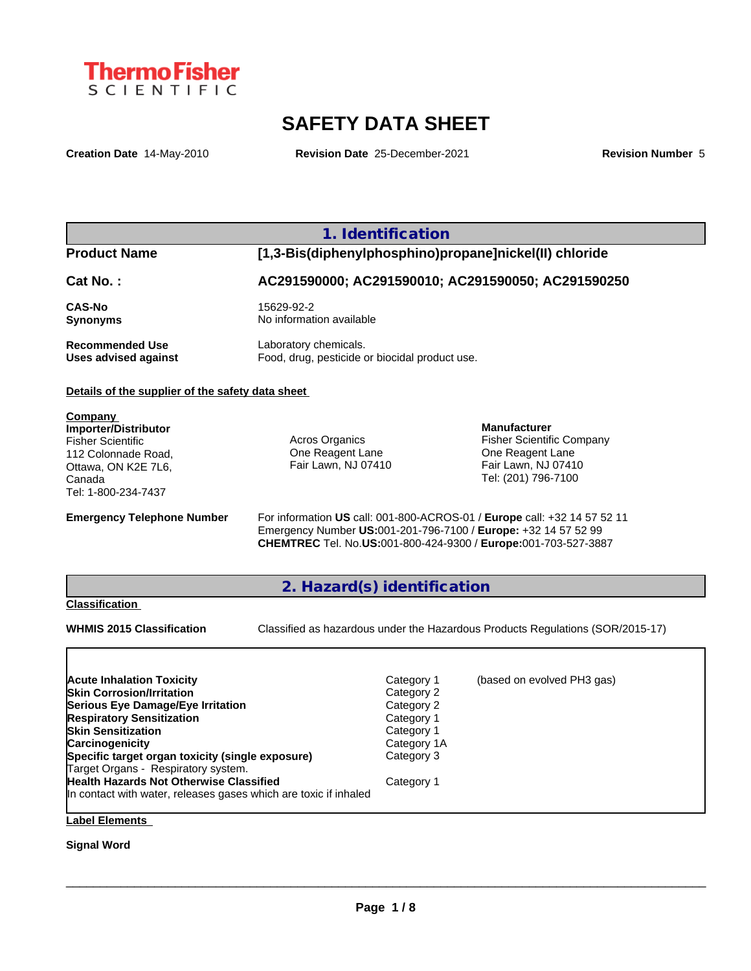

# **SAFETY DATA SHEET**

**Creation Date** 14-May-2010 **Revision Date** 25-December-2021 **Revision Number** 5

# **1. Identification**

**Product Name [1,3-Bis(diphenylphosphino)propane]nickel(II) chloride**

**Cat No. : AC291590000; AC291590010; AC291590050; AC291590250**

**CAS-No** 15629-92-2

**Synonyms** No information available

**Recommended Use** Laboratory chemicals.<br> **Uses advised against** Food, drug, pesticide of Food, drug, pesticide or biocidal product use.

# **Details of the supplier of the safety data sheet**

**Company Importer/Distributor** Fisher Scientific 112 Colonnade Road, Ottawa, ON K2E 7L6, Canada Tel: 1-800-234-7437

Acros Organics One Reagent Lane Fair Lawn, NJ 07410

**Manufacturer** Fisher Scientific Company One Reagent Lane Fair Lawn, NJ 07410 Tel: (201) 796-7100

**Emergency Telephone Number** For information **US** call: 001-800-ACROS-01 / **Europe** call: +32 14 57 52 11 Emergency Number **US:**001-201-796-7100 / **Europe:** +32 14 57 52 99 **CHEMTREC** Tel. No.**US:**001-800-424-9300 / **Europe:**001-703-527-3887

# **2. Hazard(s) identification**

## **Classification**

**WHMIS 2015 Classification** Classified as hazardous under the Hazardous Products Regulations (SOR/2015-17)

 $\_$  ,  $\_$  ,  $\_$  ,  $\_$  ,  $\_$  ,  $\_$  ,  $\_$  ,  $\_$  ,  $\_$  ,  $\_$  ,  $\_$  ,  $\_$  ,  $\_$  ,  $\_$  ,  $\_$  ,  $\_$  ,  $\_$  ,  $\_$  ,  $\_$  ,  $\_$  ,  $\_$  ,  $\_$  ,  $\_$  ,  $\_$  ,  $\_$  ,  $\_$  ,  $\_$  ,  $\_$  ,  $\_$  ,  $\_$  ,  $\_$  ,  $\_$  ,  $\_$  ,  $\_$  ,  $\_$  ,  $\_$  ,  $\_$  ,

| <b>Acute Inhalation Toxicity</b>                                 | Category 1  | (based on evolved PH3 gas) |
|------------------------------------------------------------------|-------------|----------------------------|
| <b>Skin Corrosion/Irritation</b>                                 | Category 2  |                            |
| Serious Eye Damage/Eye Irritation                                | Category 2  |                            |
| <b>Respiratory Sensitization</b>                                 | Category 1  |                            |
| <b>Skin Sensitization</b>                                        | Category 1  |                            |
| <b>Carcinogenicity</b>                                           | Category 1A |                            |
| Specific target organ toxicity (single exposure)                 | Category 3  |                            |
| Target Organs - Respiratory system.                              |             |                            |
| <b>Health Hazards Not Otherwise Classified</b>                   | Category 1  |                            |
| In contact with water, releases gases which are toxic if inhaled |             |                            |

# **Label Elements**

# **Signal Word**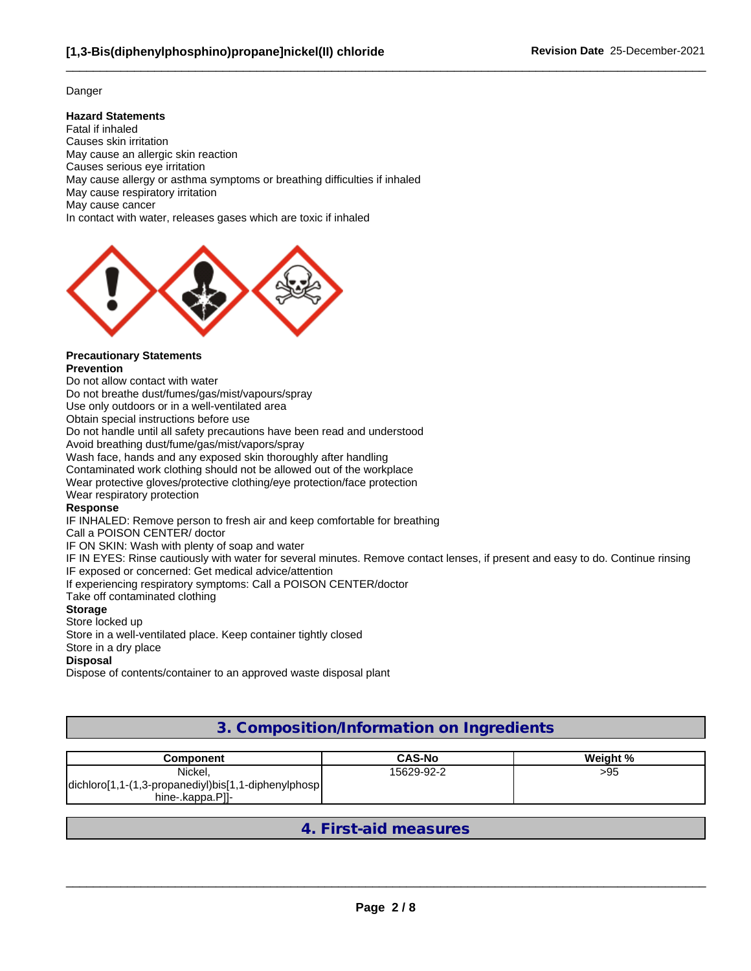# Danger

# **Hazard Statements**

Fatal if inhaled Causes skin irritation May cause an allergic skin reaction Causes serious eye irritation May cause allergy or asthma symptoms or breathing difficulties if inhaled May cause respiratory irritation May cause cancer In contact with water, releases gases which are toxic if inhaled



#### **Precautionary Statements Prevention**

Do not allow contact with water

Do not breathe dust/fumes/gas/mist/vapours/spray

Use only outdoors or in a well-ventilated area

Obtain special instructions before use

Do not handle until all safety precautions have been read and understood

Avoid breathing dust/fume/gas/mist/vapors/spray

Wash face, hands and any exposed skin thoroughly after handling

Contaminated work clothing should not be allowed out of the workplace

Wear protective gloves/protective clothing/eye protection/face protection

Wear respiratory protection

# **Response**

IF INHALED: Remove person to fresh air and keep comfortable for breathing

Call a POISON CENTER/ doctor

IF ON SKIN: Wash with plenty of soap and water

IF IN EYES: Rinse cautiously with water for several minutes. Remove contact lenses, if present and easy to do. Continue rinsing IF exposed or concerned: Get medical advice/attention

If experiencing respiratory symptoms: Call a POISON CENTER/doctor

Take off contaminated clothing

# **Storage**

# Store locked up

Store in a well-ventilated place. Keep container tightly closed

Store in a dry place

# **Disposal**

Dispose of contents/container to an approved waste disposal plant

# **3. Composition/Information on Ingredients**

| Component                                            | <b>CAS-No</b> | Weight % |
|------------------------------------------------------|---------------|----------|
| Nickel,                                              | 15629-92-2    | >95      |
| dichloro[1,1-(1,3-propanediyl)bis[1,1-diphenylphosp] |               |          |
| hine-.kappa.Pll-                                     |               |          |

**4. First-aid measures**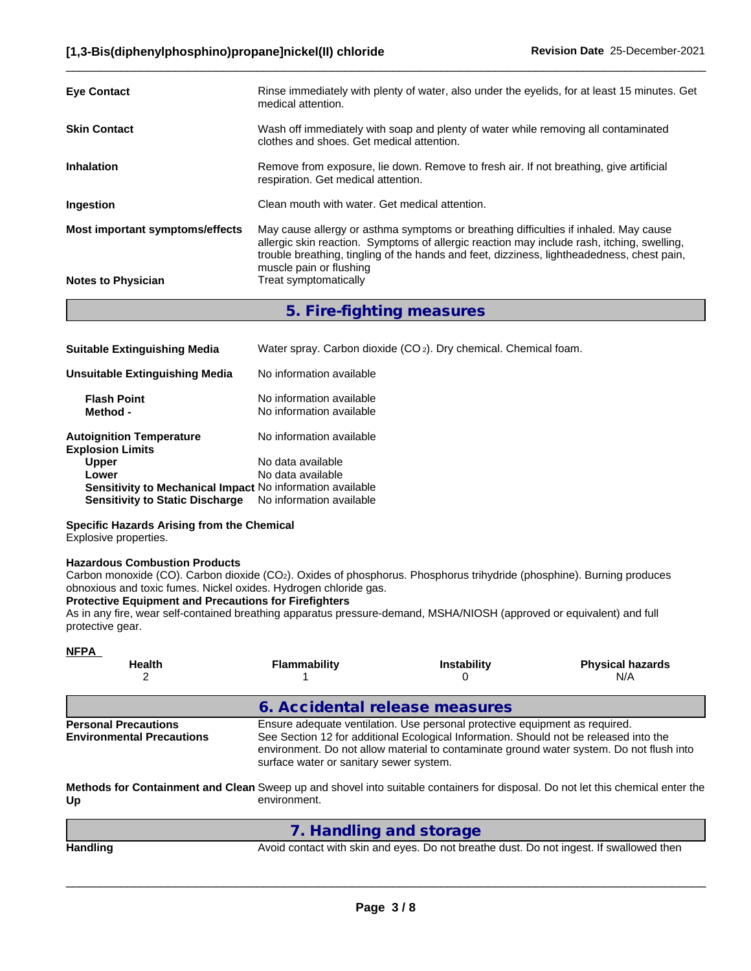| <b>Eye Contact</b>              | Rinse immediately with plenty of water, also under the eyelids, for at least 15 minutes. Get<br>medical attention.                                                                                                                                                                                          |
|---------------------------------|-------------------------------------------------------------------------------------------------------------------------------------------------------------------------------------------------------------------------------------------------------------------------------------------------------------|
| <b>Skin Contact</b>             | Wash off immediately with soap and plenty of water while removing all contaminated<br>clothes and shoes. Get medical attention.                                                                                                                                                                             |
| <b>Inhalation</b>               | Remove from exposure, lie down. Remove to fresh air. If not breathing, give artificial<br>respiration. Get medical attention.                                                                                                                                                                               |
| Ingestion                       | Clean mouth with water. Get medical attention.                                                                                                                                                                                                                                                              |
| Most important symptoms/effects | May cause allergy or asthma symptoms or breathing difficulties if inhaled. May cause<br>allergic skin reaction. Symptoms of allergic reaction may include rash, itching, swelling,<br>trouble breathing, tingling of the hands and feet, dizziness, lightheadedness, chest pain,<br>muscle pain or flushing |
| <b>Notes to Physician</b>       | Treat symptomatically                                                                                                                                                                                                                                                                                       |

**5. Fire-fighting measures**

| <b>Suitable Extinguishing Media</b>                        | Water spray. Carbon dioxide (CO <sub>2</sub> ). Dry chemical. Chemical foam. |
|------------------------------------------------------------|------------------------------------------------------------------------------|
| Unsuitable Extinguishing Media                             | No information available                                                     |
| <b>Flash Point</b><br>Method -                             | No information available<br>No information available                         |
| <b>Autoignition Temperature</b><br><b>Explosion Limits</b> | No information available                                                     |
| <b>Upper</b>                                               | No data available                                                            |
| Lower                                                      | No data available                                                            |
| Sensitivity to Mechanical Impact No information available  |                                                                              |
| <b>Sensitivity to Static Discharge</b>                     | No information available                                                     |

# **Specific Hazards Arising from the Chemical**

Explosive properties.

# **Hazardous Combustion Products**

Carbon monoxide (CO). Carbon dioxide (CO2). Oxides of phosphorus. Phosphorus trihydride (phosphine). Burning produces obnoxious and toxic fumes. Nickel oxides. Hydrogen chloride gas.

# **Protective Equipment and Precautions for Firefighters**

As in any fire, wear self-contained breathing apparatus pressure-demand, MSHA/NIOSH (approved or equivalent) and full protective gear.

| <b>NFPA</b><br><b>Health</b>                                    | <b>Flammability</b>                     | <b>Instability</b>                                                                                                                                                   | <b>Physical hazards</b><br>N/A                                                                                                  |
|-----------------------------------------------------------------|-----------------------------------------|----------------------------------------------------------------------------------------------------------------------------------------------------------------------|---------------------------------------------------------------------------------------------------------------------------------|
|                                                                 | 6. Accidental release measures          |                                                                                                                                                                      |                                                                                                                                 |
| <b>Personal Precautions</b><br><b>Environmental Precautions</b> | surface water or sanitary sewer system. | Ensure adequate ventilation. Use personal protective equipment as required.<br>See Section 12 for additional Ecological Information. Should not be released into the | environment. Do not allow material to contaminate ground water system. Do not flush into                                        |
| Up                                                              | environment.                            |                                                                                                                                                                      | Methods for Containment and Clean Sweep up and shovel into suitable containers for disposal. Do not let this chemical enter the |
|                                                                 | 7. Handling and storage                 |                                                                                                                                                                      |                                                                                                                                 |
| <b>Handling</b>                                                 |                                         |                                                                                                                                                                      | Avoid contact with skin and eyes. Do not breathe dust. Do not ingest. If swallowed then                                         |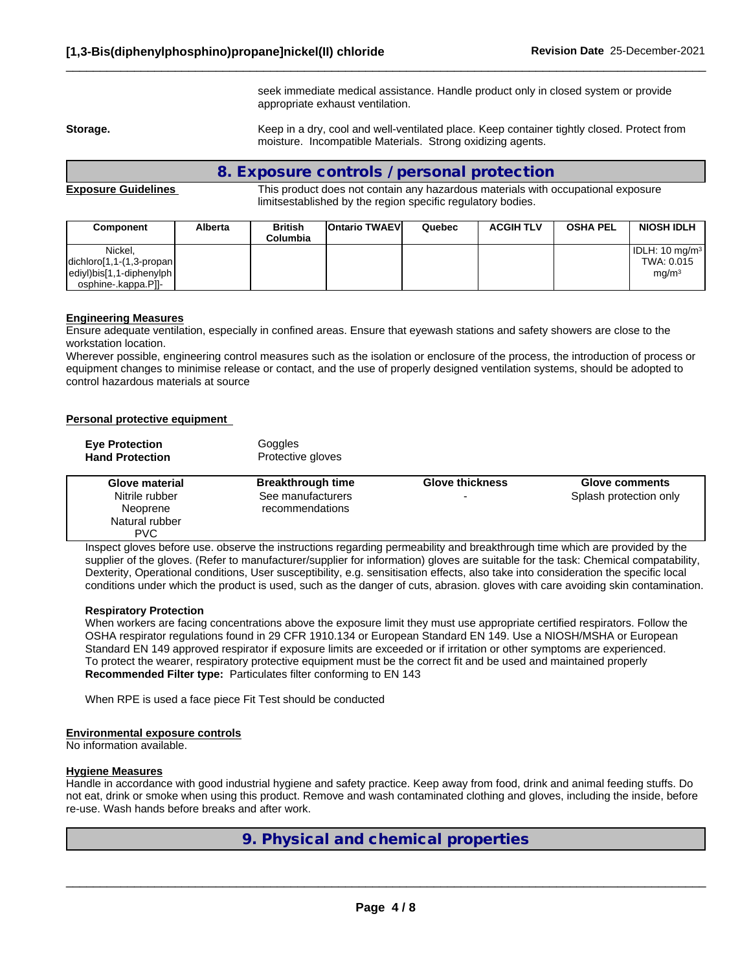seek immediate medical assistance. Handle product only in closed system or provide appropriate exhaust ventilation.

 $\_$  ,  $\_$  ,  $\_$  ,  $\_$  ,  $\_$  ,  $\_$  ,  $\_$  ,  $\_$  ,  $\_$  ,  $\_$  ,  $\_$  ,  $\_$  ,  $\_$  ,  $\_$  ,  $\_$  ,  $\_$  ,  $\_$  ,  $\_$  ,  $\_$  ,  $\_$  ,  $\_$  ,  $\_$  ,  $\_$  ,  $\_$  ,  $\_$  ,  $\_$  ,  $\_$  ,  $\_$  ,  $\_$  ,  $\_$  ,  $\_$  ,  $\_$  ,  $\_$  ,  $\_$  ,  $\_$  ,  $\_$  ,  $\_$  ,

**Storage.** Keep in a dry, cool and well-ventilated place. Keep container tightly closed. Protect from moisture. Incompatible Materials. Strong oxidizing agents.

# **8. Exposure controls / personal protection**

**Exposure Guidelines** This product does not contain any hazardous materials with occupational exposure limitsestablished by the region specific regulatory bodies.

| Component                                                                                                                                                            | <b>Alberta</b> | <b>British</b><br>Columbia | <b>IOntario TWAEVI</b> | Quebec | <b>ACGIH TLV</b> | <b>OSHA PEL</b> | <b>NIOSH IDLH</b>                                               |
|----------------------------------------------------------------------------------------------------------------------------------------------------------------------|----------------|----------------------------|------------------------|--------|------------------|-----------------|-----------------------------------------------------------------|
| Nickel.<br>$\left $ dichloro $\left  1,1-(1,3-propan \right  \right $<br>$\left $ ediyl $\right $ bis $\left[1,1\right]$ -diphenylph $\left $<br>osphine-.kappa.P]]- |                |                            |                        |        |                  |                 | IDLH: 10 mg/m <sup>3</sup>  <br>TWA: 0.015<br>mg/m <sup>3</sup> |

#### **Engineering Measures**

Ensure adequate ventilation, especially in confined areas. Ensure that eyewash stations and safety showers are close to the workstation location.

Wherever possible, engineering control measures such as the isolation or enclosure of the process, the introduction of process or equipment changes to minimise release or contact, and the use of properly designed ventilation systems, should be adopted to control hazardous materials at source

#### **Personal protective equipment**

| <b>Eye Protection</b><br><b>Hand Protection</b>            | Goggles<br>Protective gloves         |                        |                        |
|------------------------------------------------------------|--------------------------------------|------------------------|------------------------|
| Glove material                                             | <b>Breakthrough time</b>             | <b>Glove thickness</b> | <b>Glove comments</b>  |
| Nitrile rubber<br>Neoprene<br>Natural rubber<br><b>PVC</b> | See manufacturers<br>recommendations |                        | Splash protection only |

Inspect gloves before use. observe the instructions regarding permeability and breakthrough time which are provided by the supplier of the gloves. (Refer to manufacturer/supplier for information) gloves are suitable for the task: Chemical compatability, Dexterity, Operational conditions, User susceptibility, e.g. sensitisation effects, also take into consideration the specific local conditions under which the product is used, such as the danger of cuts, abrasion. gloves with care avoiding skin contamination.

#### **Respiratory Protection**

When workers are facing concentrations above the exposure limit they must use appropriate certified respirators. Follow the OSHA respirator regulations found in 29 CFR 1910.134 or European Standard EN 149. Use a NIOSH/MSHA or European Standard EN 149 approved respirator if exposure limits are exceeded or if irritation or other symptoms are experienced. To protect the wearer, respiratory protective equipment must be the correct fit and be used and maintained properly **Recommended Filter type:** Particulates filter conforming to EN 143

When RPE is used a face piece Fit Test should be conducted

#### **Environmental exposure controls**

No information available.

## **Hygiene Measures**

Handle in accordance with good industrial hygiene and safety practice. Keep away from food, drink and animal feeding stuffs. Do not eat, drink or smoke when using this product. Remove and wash contaminated clothing and gloves, including the inside, before re-use. Wash hands before breaks and after work.

# **9. Physical and chemical properties**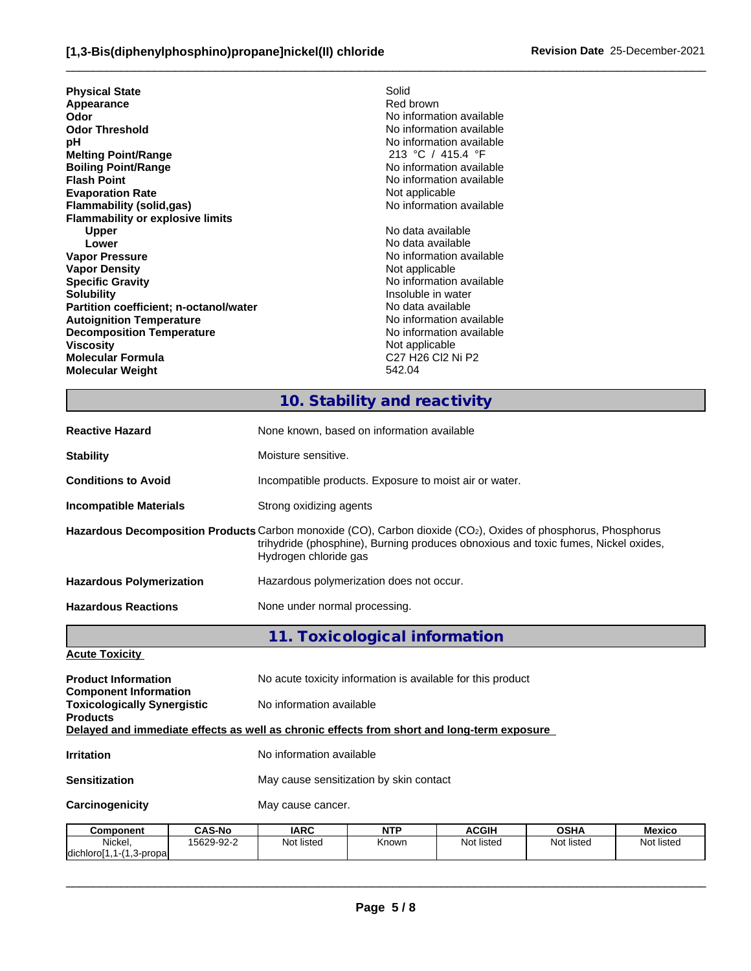| <b>Physical State</b>                   | Solid                                                                        |
|-----------------------------------------|------------------------------------------------------------------------------|
| Appearance                              | Red brown                                                                    |
| Odor                                    | No information available                                                     |
| <b>Odor Threshold</b>                   | No information available                                                     |
| рH                                      | No information available                                                     |
| <b>Melting Point/Range</b>              | 213 °C / 415.4 °F                                                            |
| <b>Boiling Point/Range</b>              | No information available                                                     |
| <b>Flash Point</b>                      | No information available                                                     |
| <b>Evaporation Rate</b>                 | Not applicable                                                               |
| Flammability (solid,gas)                | No information available                                                     |
| <b>Flammability or explosive limits</b> |                                                                              |
| <b>Upper</b>                            | No data available                                                            |
| Lower                                   | No data available                                                            |
| <b>Vapor Pressure</b>                   | No information available                                                     |
| <b>Vapor Density</b>                    | Not applicable                                                               |
| <b>Specific Gravity</b>                 | No information available                                                     |
| <b>Solubility</b>                       | Insoluble in water                                                           |
| Partition coefficient; n-octanol/water  | No data available                                                            |
| <b>Autoignition Temperature</b>         | No information available                                                     |
| <b>Decomposition Temperature</b>        | No information available                                                     |
| <b>Viscosity</b>                        | Not applicable                                                               |
| Molecular Formula                       | C <sub>27</sub> H <sub>26</sub> C <sub>2</sub> N <sub>i</sub> P <sub>2</sub> |
| <b>Molecular Weight</b>                 | 542.04                                                                       |
|                                         |                                                                              |

# **10. Stability and reactivity**

 $\_$  ,  $\_$  ,  $\_$  ,  $\_$  ,  $\_$  ,  $\_$  ,  $\_$  ,  $\_$  ,  $\_$  ,  $\_$  ,  $\_$  ,  $\_$  ,  $\_$  ,  $\_$  ,  $\_$  ,  $\_$  ,  $\_$  ,  $\_$  ,  $\_$  ,  $\_$  ,  $\_$  ,  $\_$  ,  $\_$  ,  $\_$  ,  $\_$  ,  $\_$  ,  $\_$  ,  $\_$  ,  $\_$  ,  $\_$  ,  $\_$  ,  $\_$  ,  $\_$  ,  $\_$  ,  $\_$  ,  $\_$  ,  $\_$  ,

| <b>Reactive Hazard</b>                                                                                        | None known, based on information available                                                                                                                                                                                   |                               |                                                             |             |        |  |  |  |
|---------------------------------------------------------------------------------------------------------------|------------------------------------------------------------------------------------------------------------------------------------------------------------------------------------------------------------------------------|-------------------------------|-------------------------------------------------------------|-------------|--------|--|--|--|
| <b>Stability</b>                                                                                              | Moisture sensitive.                                                                                                                                                                                                          |                               |                                                             |             |        |  |  |  |
| <b>Conditions to Avoid</b>                                                                                    | Incompatible products. Exposure to moist air or water.                                                                                                                                                                       |                               |                                                             |             |        |  |  |  |
| <b>Incompatible Materials</b>                                                                                 | Strong oxidizing agents                                                                                                                                                                                                      |                               |                                                             |             |        |  |  |  |
|                                                                                                               | Hazardous Decomposition Products Carbon monoxide (CO), Carbon dioxide (CO2), Oxides of phosphorus, Phosphorus<br>trihydride (phosphine), Burning produces obnoxious and toxic fumes, Nickel oxides,<br>Hydrogen chloride gas |                               |                                                             |             |        |  |  |  |
| <b>Hazardous Polymerization</b>                                                                               | Hazardous polymerization does not occur.                                                                                                                                                                                     |                               |                                                             |             |        |  |  |  |
| <b>Hazardous Reactions</b>                                                                                    | None under normal processing.                                                                                                                                                                                                |                               |                                                             |             |        |  |  |  |
|                                                                                                               |                                                                                                                                                                                                                              | 11. Toxicological information |                                                             |             |        |  |  |  |
| <b>Acute Toxicity</b>                                                                                         |                                                                                                                                                                                                                              |                               |                                                             |             |        |  |  |  |
| <b>Product Information</b>                                                                                    |                                                                                                                                                                                                                              |                               | No acute toxicity information is available for this product |             |        |  |  |  |
| <b>Component Information</b><br><b>Toxicologically Synergistic</b>                                            | No information available                                                                                                                                                                                                     |                               |                                                             |             |        |  |  |  |
| <b>Products</b><br>Delayed and immediate effects as well as chronic effects from short and long-term exposure |                                                                                                                                                                                                                              |                               |                                                             |             |        |  |  |  |
| <b>Irritation</b>                                                                                             | No information available                                                                                                                                                                                                     |                               |                                                             |             |        |  |  |  |
| <b>Sensitization</b>                                                                                          | May cause sensitization by skin contact                                                                                                                                                                                      |                               |                                                             |             |        |  |  |  |
| Carcinogenicity                                                                                               | May cause cancer.                                                                                                                                                                                                            |                               |                                                             |             |        |  |  |  |
| $CAS-N0$<br>Component                                                                                         | IARC.                                                                                                                                                                                                                        | <b>NTP</b>                    | <b>ACGIH</b>                                                | <b>OSHA</b> | Mexico |  |  |  |

| <b>Component</b>                                      | <b>CAS-No</b> | <b>IARC</b> | <b>NTP</b> | <b>ACGIF</b> | <b>OSHA</b> | Mexicc     |
|-------------------------------------------------------|---------------|-------------|------------|--------------|-------------|------------|
| Nicke <sub>l</sub>                                    | 15629-92-2    | Not listed  | Known      | Not listed   | Not listed  | Not listed |
| ldichlorol1.1<br>$\overline{A}$<br>1.3-propal<br>ו- ו |               |             |            |              |             |            |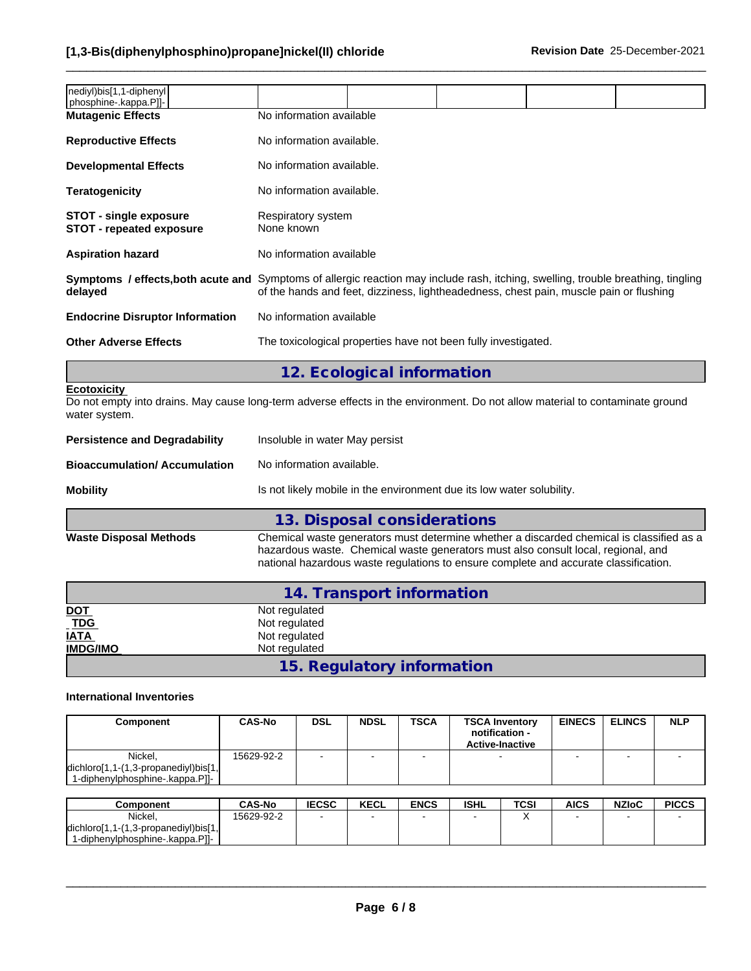| nediyl)bis[1,1-diphenyl<br> phosphine-.kappa.P]]-                |                                                                                                                                                                                                                                    |  |  |  |  |  |
|------------------------------------------------------------------|------------------------------------------------------------------------------------------------------------------------------------------------------------------------------------------------------------------------------------|--|--|--|--|--|
| <b>Mutagenic Effects</b>                                         | No information available                                                                                                                                                                                                           |  |  |  |  |  |
| <b>Reproductive Effects</b>                                      | No information available.                                                                                                                                                                                                          |  |  |  |  |  |
| <b>Developmental Effects</b>                                     | No information available.                                                                                                                                                                                                          |  |  |  |  |  |
| <b>Teratogenicity</b>                                            | No information available.                                                                                                                                                                                                          |  |  |  |  |  |
| <b>STOT - single exposure</b><br><b>STOT - repeated exposure</b> | Respiratory system<br>None known                                                                                                                                                                                                   |  |  |  |  |  |
| <b>Aspiration hazard</b>                                         | No information available                                                                                                                                                                                                           |  |  |  |  |  |
| delayed                                                          | <b>Symptoms / effects, both acute and</b> Symptoms of allergic reaction may include rash, itching, swelling, trouble breathing, tingling<br>of the hands and feet, dizziness, lightheadedness, chest pain, muscle pain or flushing |  |  |  |  |  |
| <b>Endocrine Disruptor Information</b>                           | No information available                                                                                                                                                                                                           |  |  |  |  |  |
| <b>Other Adverse Effects</b>                                     | The toxicological properties have not been fully investigated.                                                                                                                                                                     |  |  |  |  |  |
|                                                                  |                                                                                                                                                                                                                                    |  |  |  |  |  |

**12. Ecological information**

# **Ecotoxicity**

Do not empty into drains. May cause long-term adverse effects in the environment. Do not allow material to contaminate ground water system.

| Mobility                             | Is not likely mobile in the environment due its low water solubility. |
|--------------------------------------|-----------------------------------------------------------------------|
| Bioaccumulation/ Accumulation        | No information available.                                             |
| <b>Persistence and Degradability</b> | Insoluble in water May persist                                        |
|                                      |                                                                       |

**13. Disposal considerations Waste Disposal Methods** Chemical waste generators must determine whether a discarded chemical is classified as a hazardous waste. Chemical waste generators must also consult local, regional, and national hazardous waste regulations to ensure complete and accurate classification.

|                              | 14. Transport information  |  |
|------------------------------|----------------------------|--|
| <b>DOT</b>                   | Not regulated              |  |
| $\underline{\overline{TDG}}$ | Not regulated              |  |
| <b>IATA</b>                  | Not regulated              |  |
| <b>IMDG/IMO</b>              | Not regulated              |  |
|                              | 15. Regulatory information |  |

# **International Inventories**

|                                                                                                                    |            | <b>NDSL</b> | <b>TSCA</b> | <b>TSCA Inventory</b><br>notification -<br><b>Active-Inactive</b> | <b>EINECS</b> | <b>ELINCS</b> | <b>NLP</b> |
|--------------------------------------------------------------------------------------------------------------------|------------|-------------|-------------|-------------------------------------------------------------------|---------------|---------------|------------|
| Nickel,<br>$\left  \text{dichloro}[1,1-(1,3-propanel y )\text{bis}[1,1]\right $<br>1-diphenylphosphine-.kappa.Pll- | 15629-92-2 |             |             |                                                                   |               |               |            |

| Component                                                           | <b>CAS-No</b> | <b>IECSC</b> | <b>KECL</b> | <b>ENCS</b> | <b>ISHL</b> | <b>TCSI</b> | <b>AICS</b> | <b>NZIoC</b> | <b>PICCS</b> |
|---------------------------------------------------------------------|---------------|--------------|-------------|-------------|-------------|-------------|-------------|--------------|--------------|
| Nickel.                                                             | 15629-92-2    |              |             |             |             |             |             |              |              |
| dichloro <sup>[1</sup><br>$(1,3$ -propanediyl)bis $[1,$<br>$1 - 11$ |               |              |             |             |             |             |             |              |              |
| 1-diphenylphosphine-.kappa.Pll-                                     |               |              |             |             |             |             |             |              |              |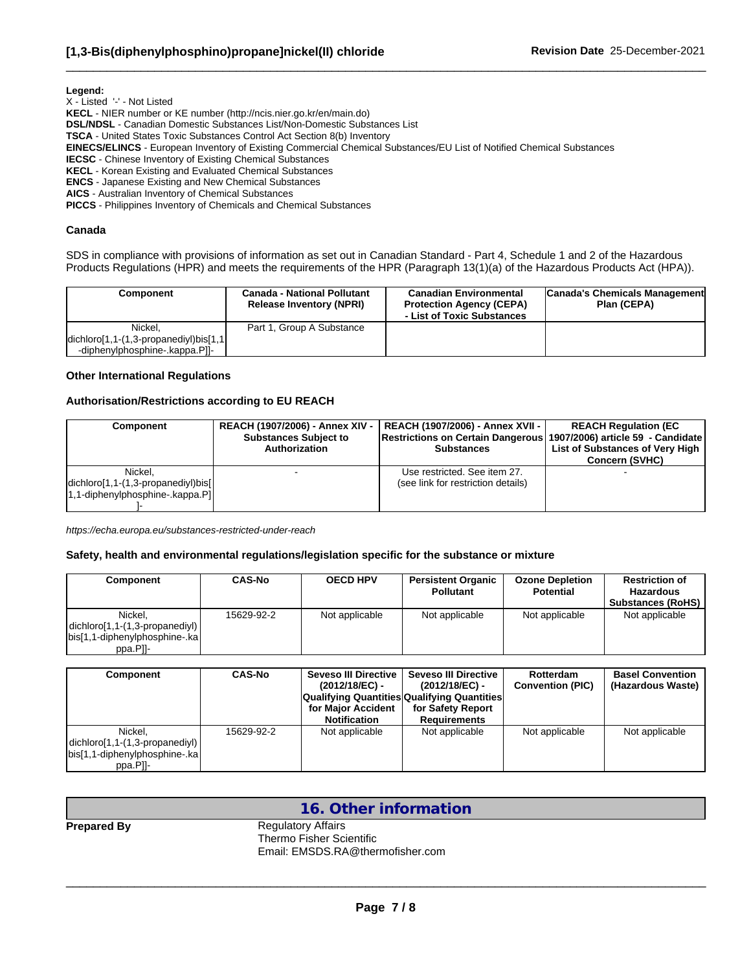**Legend:**

X - Listed '-' - Not Listed

**KECL** - NIER number or KE number (http://ncis.nier.go.kr/en/main.do)

**DSL/NDSL** - Canadian Domestic Substances List/Non-Domestic Substances List

**TSCA** - United States Toxic Substances Control Act Section 8(b) Inventory

**EINECS/ELINCS** - European Inventory of Existing Commercial Chemical Substances/EU List of Notified Chemical Substances

**IECSC** - Chinese Inventory of Existing Chemical Substances

**KECL** - Korean Existing and Evaluated Chemical Substances

**ENCS** - Japanese Existing and New Chemical Substances

**AICS** - Australian Inventory of Chemical Substances

**PICCS** - Philippines Inventory of Chemicals and Chemical Substances

#### **Canada**

SDS in compliance with provisions of information as set out in Canadian Standard - Part 4, Schedule 1 and 2 of the Hazardous Products Regulations (HPR) and meets the requirements of the HPR (Paragraph 13(1)(a) of the Hazardous Products Act (HPA)).

 $\_$  ,  $\_$  ,  $\_$  ,  $\_$  ,  $\_$  ,  $\_$  ,  $\_$  ,  $\_$  ,  $\_$  ,  $\_$  ,  $\_$  ,  $\_$  ,  $\_$  ,  $\_$  ,  $\_$  ,  $\_$  ,  $\_$  ,  $\_$  ,  $\_$  ,  $\_$  ,  $\_$  ,  $\_$  ,  $\_$  ,  $\_$  ,  $\_$  ,  $\_$  ,  $\_$  ,  $\_$  ,  $\_$  ,  $\_$  ,  $\_$  ,  $\_$  ,  $\_$  ,  $\_$  ,  $\_$  ,  $\_$  ,  $\_$  ,

| <b>Component</b>                                                                 | <b>Canada - National Pollutant</b><br><b>Release Inventory (NPRI)</b> | <b>Canadian Environmental</b><br><b>Protection Agency (CEPA)</b><br>- List of Toxic Substances | Canada's Chemicals Management<br>Plan (CEPA) |
|----------------------------------------------------------------------------------|-----------------------------------------------------------------------|------------------------------------------------------------------------------------------------|----------------------------------------------|
| Nickel.                                                                          | Part 1, Group A Substance                                             |                                                                                                |                                              |
| $\left $ dichloro $\left[1,1-(1,3$ -propanediyl $\right)$ bis $\left[1,1\right]$ |                                                                       |                                                                                                |                                              |
| -diphenylphosphine-.kappa.Pll-                                                   |                                                                       |                                                                                                |                                              |

#### **Other International Regulations**

#### **Authorisation/Restrictions according to EU REACH**

| <b>Component</b>                                                                  | <b>REACH (1907/2006) - Annex XIV -</b> | REACH (1907/2006) - Annex XVII -                                      | <b>REACH Regulation (EC</b>     |
|-----------------------------------------------------------------------------------|----------------------------------------|-----------------------------------------------------------------------|---------------------------------|
|                                                                                   | <b>Substances Subject to</b>           | Restrictions on Certain Dangerous   1907/2006) article 59 - Candidate | List of Substances of Very High |
|                                                                                   | Authorization                          | <b>Substances</b>                                                     | <b>Concern (SVHC)</b>           |
| Nickel.<br>$ dichloro[1,1-(1,3-propanediy])\ $<br>1,1-diphenylphosphine-.kappa.Pl |                                        | Use restricted. See item 27.<br>(see link for restriction details)    |                                 |

*https://echa.europa.eu/substances-restricted-under-reach*

#### **Safety, health and environmental regulations/legislation specific for the substance or mixture**

| Component                                                                                  | <b>CAS-No</b> | <b>OECD HPV</b> | <b>Persistent Organic</b><br><b>Pollutant</b> | <b>Ozone Depletion</b><br><b>Potential</b> | <b>Restriction of</b><br>Hazardous<br><b>Substances (RoHS)</b> |
|--------------------------------------------------------------------------------------------|---------------|-----------------|-----------------------------------------------|--------------------------------------------|----------------------------------------------------------------|
| Nickel.<br>$ dichloro[1,1-(1,3-propanediy] $<br>bis[1,1-diphenylphosphine-.ka]<br>ppa.Pll- | 15629-92-2    | Not applicable  | Not applicable                                | Not applicable                             | Not applicable                                                 |

| Component                                                                                 | <b>CAS-No</b> | Seveso III Directive I<br>(2012/18/EC) -<br><b>Qualifying Quantities Qualifying Quantities</b><br>for Maior Accident<br><b>Notification</b> | <b>Seveso III Directive</b><br>(2012/18/EC) -<br>for Safety Report<br><b>Requirements</b> | Rotterdam<br><b>Convention (PIC)</b> | <b>Basel Convention</b><br>(Hazardous Waste) |
|-------------------------------------------------------------------------------------------|---------------|---------------------------------------------------------------------------------------------------------------------------------------------|-------------------------------------------------------------------------------------------|--------------------------------------|----------------------------------------------|
| Nickel.<br>$ dichloro[1,1-(1,3-propanel )]$<br>bis[1,1-diphenylphosphine-.ka]<br>ppa.Pll- | 15629-92-2    | Not applicable                                                                                                                              | Not applicable                                                                            | Not applicable                       | Not applicable                               |

# **16. Other information**

**Prepared By** Regulatory Affairs Thermo Fisher Scientific Email: EMSDS.RA@thermofisher.com